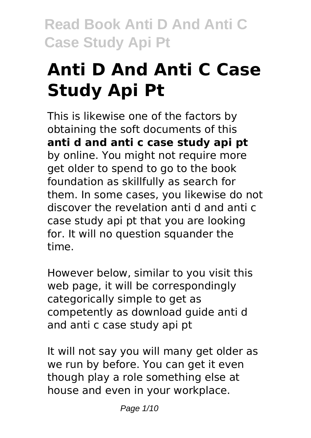# **Anti D And Anti C Case Study Api Pt**

This is likewise one of the factors by obtaining the soft documents of this **anti d and anti c case study api pt** by online. You might not require more get older to spend to go to the book foundation as skillfully as search for them. In some cases, you likewise do not discover the revelation anti d and anti c case study api pt that you are looking for. It will no question squander the time.

However below, similar to you visit this web page, it will be correspondingly categorically simple to get as competently as download guide anti d and anti c case study api pt

It will not say you will many get older as we run by before. You can get it even though play a role something else at house and even in your workplace.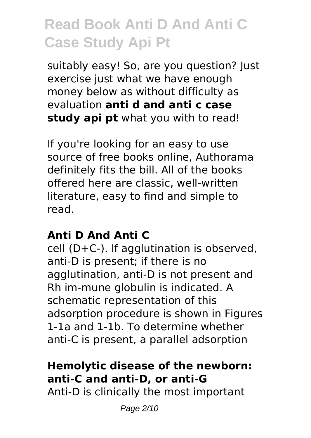suitably easy! So, are you question? Just exercise just what we have enough money below as without difficulty as evaluation **anti d and anti c case study api pt** what you with to read!

If you're looking for an easy to use source of free books online, Authorama definitely fits the bill. All of the books offered here are classic, well-written literature, easy to find and simple to read.

#### **Anti D And Anti C**

cell (D+C-). If agglutination is observed, anti-D is present; if there is no agglutination, anti-D is not present and Rh im-mune globulin is indicated. A schematic representation of this adsorption procedure is shown in Figures 1-1a and 1-1b. To determine whether anti-C is present, a parallel adsorption

### **Hemolytic disease of the newborn: anti-C and anti-D, or anti-G**

Anti-D is clinically the most important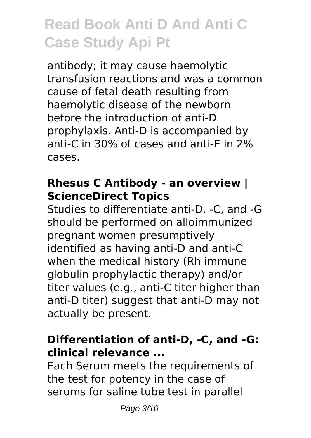antibody; it may cause haemolytic transfusion reactions and was a common cause of fetal death resulting from haemolytic disease of the newborn before the introduction of anti-D prophylaxis. Anti-D is accompanied by anti-C in 30% of cases and anti-E in 2% cases.

#### **Rhesus C Antibody - an overview | ScienceDirect Topics**

Studies to differentiate anti‐D, ‐C, and ‐G should be performed on alloimmunized pregnant women presumptively identified as having anti‐D and anti‐C when the medical history (Rh immune globulin prophylactic therapy) and/or titer values (e.g., anti‐C titer higher than anti‐D titer) suggest that anti‐D may not actually be present.

#### **Differentiation of anti‐D, ‐C, and ‐G: clinical relevance ...**

Each Serum meets the requirements of the test for potency in the case of serums for saline tube test in parallel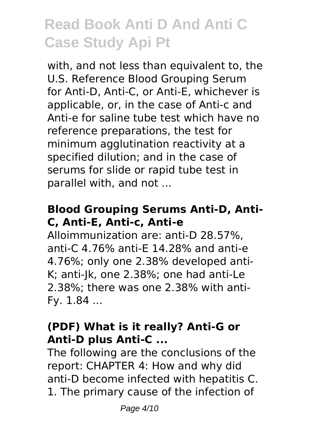with, and not less than equivalent to, the U.S. Reference Blood Grouping Serum for Anti-D, Anti-C, or Anti-E, whichever is applicable, or, in the case of Anti-c and Anti-e for saline tube test which have no reference preparations, the test for minimum agglutination reactivity at a specified dilution; and in the case of serums for slide or rapid tube test in parallel with, and not ...

### **Blood Grouping Serums Anti-D, Anti-C, Anti-E, Anti-c, Anti-e**

Alloimmunization are: anti-D 28.57%, anti-C 4.76% anti-E 14.28% and anti-e 4.76%; only one 2.38% developed anti-K; anti-Jk, one 2.38%; one had anti-Le 2.38%; there was one 2.38% with anti-Fy. 1.84 ...

#### **(PDF) What is it really? Anti-G or Anti-D plus Anti-C ...**

The following are the conclusions of the report: CHAPTER 4: How and why did anti-D become infected with hepatitis C. 1. The primary cause of the infection of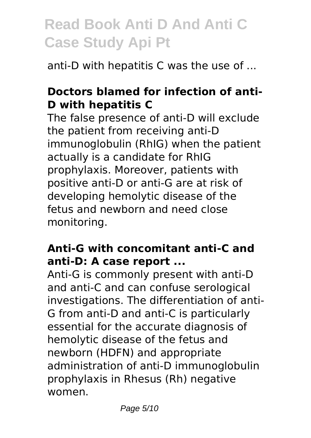anti-D with hepatitis C was the use of ...

### **Doctors blamed for infection of anti-D with hepatitis C**

The false presence of anti-D will exclude the patient from receiving anti-D immunoglobulin (RhIG) when the patient actually is a candidate for RhIG prophylaxis. Moreover, patients with positive anti-D or anti-G are at risk of developing hemolytic disease of the fetus and newborn and need close monitoring.

#### **Anti-G with concomitant anti-C and anti-D: A case report ...**

Anti-G is commonly present with anti-D and anti-C and can confuse serological investigations. The differentiation of anti-G from anti-D and anti-C is particularly essential for the accurate diagnosis of hemolytic disease of the fetus and newborn (HDFN) and appropriate administration of anti-D immunoglobulin prophylaxis in Rhesus (Rh) negative women.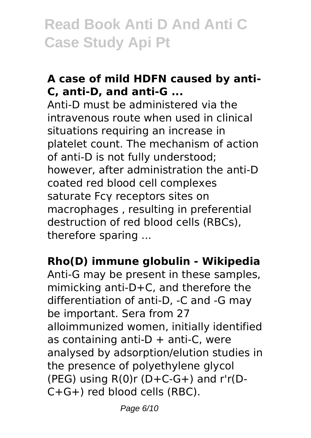### **A case of mild HDFN caused by anti-C, anti-D, and anti-G ...**

Anti-D must be administered via the intravenous route when used in clinical situations requiring an increase in platelet count. The mechanism of action of anti-D is not fully understood; however, after administration the anti-D coated red blood cell complexes saturate Fcγ receptors sites on macrophages , resulting in preferential destruction of red blood cells (RBCs), therefore sparing ...

**Rho(D) immune globulin - Wikipedia**

Anti-G may be present in these samples, mimicking anti-D+C, and therefore the differentiation of anti-D, -C and -G may be important. Sera from 27 alloimmunized women, initially identified as containing anti- $D +$  anti-C, were analysed by adsorption/elution studies in the presence of polyethylene glycol (PEG) using  $R(0)r(D+C-G+)$  and  $r'r(D-P)$ C+G+) red blood cells (RBC).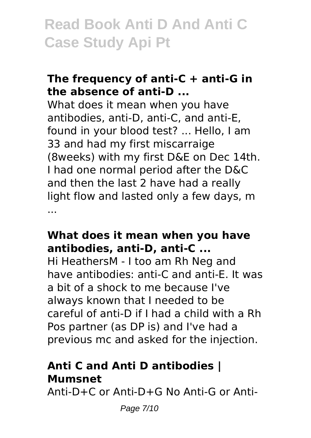#### **The frequency of anti-C + anti-G in the absence of anti-D ...**

What does it mean when you have antibodies, anti-D, anti-C, and anti-E, found in your blood test? ... Hello, I am 33 and had my first miscarraige (8weeks) with my first D&E on Dec 14th. I had one normal period after the D&C and then the last 2 have had a really light flow and lasted only a few days, m ...

#### **What does it mean when you have antibodies, anti-D, anti-C ...**

Hi HeathersM - I too am Rh Neg and have antibodies: anti-C and anti-E. It was a bit of a shock to me because I've always known that I needed to be careful of anti-D if I had a child with a Rh Pos partner (as DP is) and I've had a previous mc and asked for the injection.

#### **Anti C and Anti D antibodies | Mumsnet**

Anti-D+C or Anti-D+G No Anti-G or Anti-

Page 7/10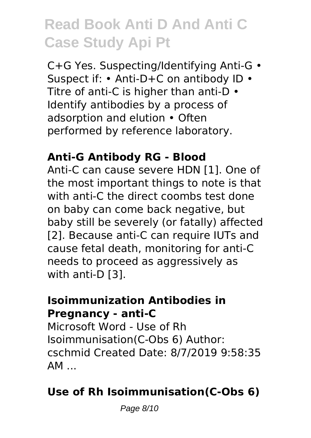C+G Yes. Suspecting/Identifying Anti-G • Suspect if: • Anti-D+C on antibody ID • Titre of anti-C is higher than anti-D • Identify antibodies by a process of adsorption and elution • Often performed by reference laboratory.

#### **Anti-G Antibody RG - Blood**

Anti-C can cause severe HDN [1]. One of the most important things to note is that with anti-C the direct coombs test done on baby can come back negative, but baby still be severely (or fatally) affected [2]. Because anti-C can require IUTs and cause fetal death, monitoring for anti-C needs to proceed as aggressively as with anti-D [3].

#### **Isoimmunization Antibodies in Pregnancy - anti-C**

Microsoft Word - Use of Rh Isoimmunisation(C-Obs 6) Author: cschmid Created Date: 8/7/2019 9:58:35  $AM$ ...

### **Use of Rh Isoimmunisation(C-Obs 6)**

Page 8/10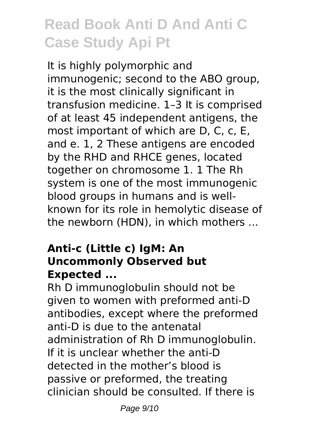It is highly polymorphic and immunogenic; second to the ABO group, it is the most clinically significant in transfusion medicine. 1–3 It is comprised of at least 45 independent antigens, the most important of which are D, C, c, E, and e. 1, 2 These antigens are encoded by the RHD and RHCE genes, located together on chromosome 1. 1 The Rh system is one of the most immunogenic blood groups in humans and is wellknown for its role in hemolytic disease of the newborn (HDN), in which mothers ...

#### **Anti-c (Little c) IgM: An Uncommonly Observed but Expected ...**

Rh D immunoglobulin should not be given to women with preformed anti-D antibodies, except where the preformed anti-D is due to the antenatal administration of Rh D immunoglobulin. If it is unclear whether the anti-D detected in the mother's blood is passive or preformed, the treating clinician should be consulted. If there is